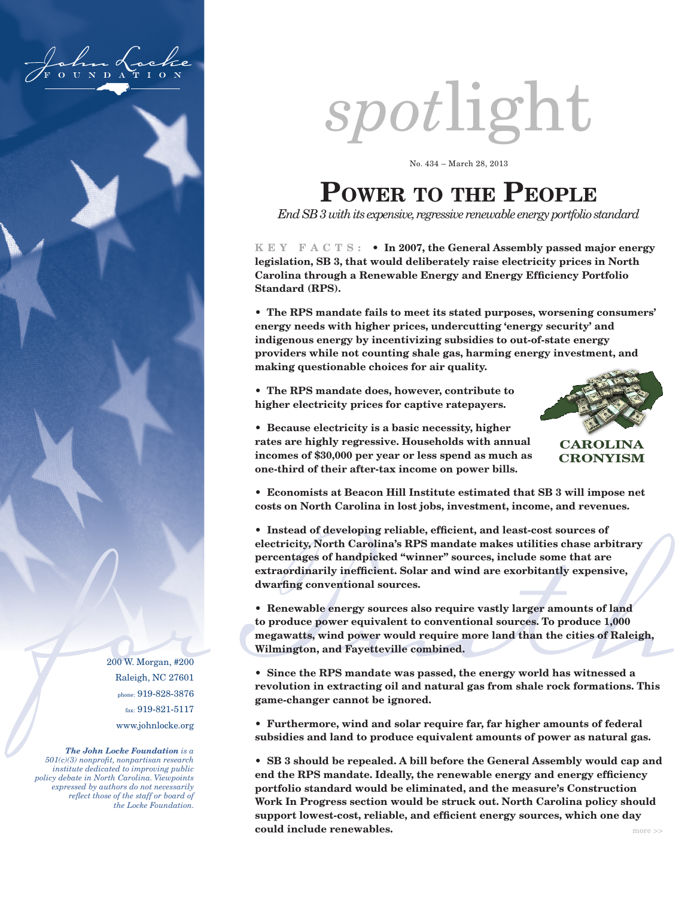

# *spot*light

No. 434 – March 28, 2013

# **Power to the People**

*End SB 3 with its expensive, regressive renewable energy portfolio standard*

**K E Y F A C T S : • In 2007, the General Assembly passed major energy legislation, SB 3, that would deliberately raise electricity prices in North Carolina through a Renewable Energy and Energy Efficiency Portfolio Standard (RPS).**

**• The RPS mandate fails to meet its stated purposes, worsening consumers' energy needs with higher prices, undercutting 'energy security' and indigenous energy by incentivizing subsidies to out-of-state energy providers while not counting shale gas, harming energy investment, and making questionable choices for air quality.**

**• The RPS mandate does, however, contribute to higher electricity prices for captive ratepayers.** 



**CAROLINA CRONYISM**

**• Because electricity is a basic necessity, higher rates are highly regressive. Households with annual incomes of \$30,000 per year or less spend as much as one-third of their after-tax income on power bills.**

**• Economists at Beacon Hill Institute estimated that SB 3 will impose net costs on North Carolina in lost jobs, investment, income, and revenues.**

**• Instead of developing reliable, efficient, and least-cost sources of electricity, North Carolina's RPS mandate makes utilities chase arbitrary percentages of handpicked "winner" sources, include some that are extraordinarily inefficient. Solar and wind are exorbitantly expensive, dwarfing conventional sources.**

extraordinarily inefficient. Solar and wind are exorbitantly expensive,<br>dwarfing conventional sources.<br>
• Renewable energy sources also require vastly larger amounts of land<br>
to produce power equivalent to conventional sou **• Renewable energy sources also require vastly larger amounts of land to produce power equivalent to conventional sources. To produce 1,000 megawatts, wind power would require more land than the cities of Raleigh, Wilmington, and Fayetteville combined.**

**• Since the RPS mandate was passed, the energy world has witnessed a revolution in extracting oil and natural gas from shale rock formations. This game-changer cannot be ignored.**

**• Furthermore, wind and solar require far, far higher amounts of federal subsidies and land to produce equivalent amounts of power as natural gas.** 

**• SB 3 should be repealed. A bill before the General Assembly would cap and end the RPS mandate. Ideally, the renewable energy and energy efficiency portfolio standard would be eliminated, and the measure's Construction Work In Progress section would be struck out. North Carolina policy should support lowest-cost, reliable, and efficient energy sources, which one day could include renewables.** The set of the set of the set of the set of the set of the set of the set of the set of the set of the set of the set of the set of the set of the set of the set of the set of the set of the set

200 W. Morgan, #200 Raleigh, NC 27601 phone: 919-828-3876 fax: 919-821-5117 www.johnlocke.org

*The John Locke Foundation is a 501(c)(3) nonprofit, nonpartisan research institute dedicated to improving public policy debate in North Carolina. Viewpoints expressed by authors do not necessarily reflect those of the staff or board of the Locke Foundation.*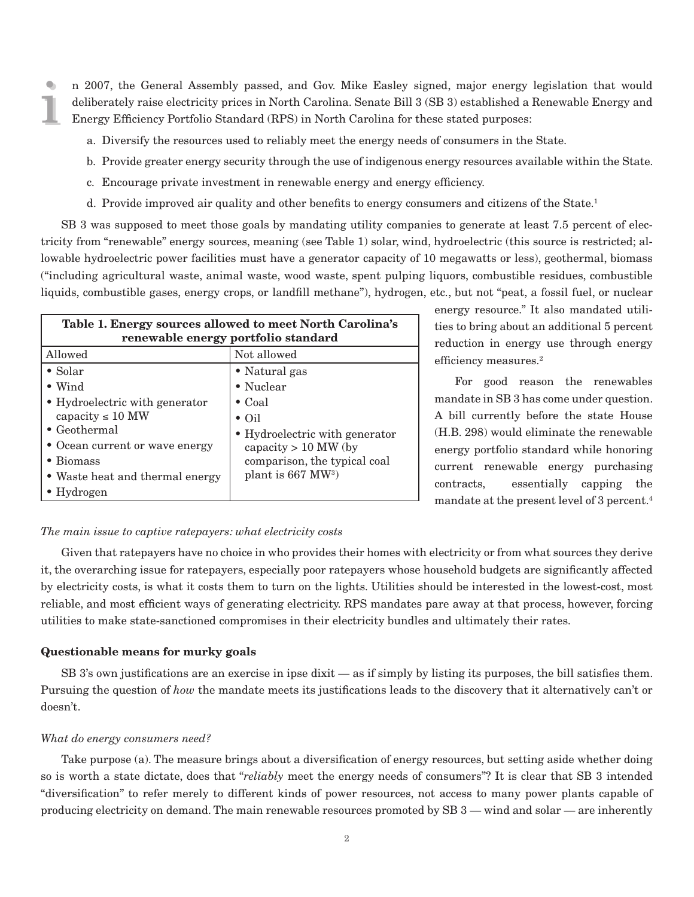i i n 2007, the General Assembly passed, and Gov. Mike Easley signed, major energy legislation that would deliberately raise electricity prices in North Carolina. Senate Bill 3 (SB 3) established a Renewable Energy and Energy Efficiency Portfolio Standard (RPS) in North Carolina for these stated purposes:

- a. Diversify the resources used to reliably meet the energy needs of consumers in the State.
- b. Provide greater energy security through the use of indigenous energy resources available within the State.
- c. Encourage private investment in renewable energy and energy efficiency.
- d. Provide improved air quality and other benefits to energy consumers and citizens of the State.1

SB 3 was supposed to meet those goals by mandating utility companies to generate at least 7.5 percent of electricity from "renewable" energy sources, meaning (see Table 1) solar, wind, hydroelectric (this source is restricted; allowable hydroelectric power facilities must have a generator capacity of 10 megawatts or less), geothermal, biomass ("including agricultural waste, animal waste, wood waste, spent pulping liquors, combustible residues, combustible liquids, combustible gases, energy crops, or landfill methane"), hydrogen, etc., but not "peat, a fossil fuel, or nuclear

| Table 1. Energy sources allowed to meet North Carolina's<br>renewable energy portfolio standard |                                |  |  |  |  |
|-------------------------------------------------------------------------------------------------|--------------------------------|--|--|--|--|
| Allowed                                                                                         | Not allowed                    |  |  |  |  |
| $\bullet$ Solar                                                                                 | • Natural gas                  |  |  |  |  |
| $\bullet$ Wind                                                                                  | • Nuclear                      |  |  |  |  |
| • Hydroelectric with generator                                                                  | $\bullet$ Coal                 |  |  |  |  |
| capacity $\leq 10$ MW                                                                           | $\bullet$ Oil                  |  |  |  |  |
| $\bullet$ Geothermal                                                                            | • Hydroelectric with generator |  |  |  |  |
| • Ocean current or wave energy                                                                  | capacity $> 10$ MW (by         |  |  |  |  |
| • Biomass                                                                                       | comparison, the typical coal   |  |  |  |  |
| • Waste heat and thermal energy                                                                 | plant is $667 \text{ MW}^3$    |  |  |  |  |
| $\bullet$ Hydrogen                                                                              |                                |  |  |  |  |

energy resource." It also mandated utilities to bring about an additional 5 percent reduction in energy use through energy efficiency measures.<sup>2</sup>

For good reason the renewables mandate in SB 3 has come under question. A bill currently before the state House (H.B. 298) would eliminate the renewable energy portfolio standard while honoring current renewable energy purchasing contracts, essentially capping the mandate at the present level of 3 percent.<sup>4</sup>

# *The main issue to captive ratepayers: what electricity costs*

Given that ratepayers have no choice in who provides their homes with electricity or from what sources they derive it, the overarching issue for ratepayers, especially poor ratepayers whose household budgets are significantly affected by electricity costs, is what it costs them to turn on the lights. Utilities should be interested in the lowest-cost, most reliable, and most efficient ways of generating electricity. RPS mandates pare away at that process, however, forcing utilities to make state-sanctioned compromises in their electricity bundles and ultimately their rates.

#### **Questionable means for murky goals**

SB 3's own justifications are an exercise in ipse dixit — as if simply by listing its purposes, the bill satisfies them. Pursuing the question of *how* the mandate meets its justifications leads to the discovery that it alternatively can't or doesn't.

#### *What do energy consumers need?*

Take purpose (a). The measure brings about a diversification of energy resources, but setting aside whether doing so is worth a state dictate, does that "*reliably* meet the energy needs of consumers"? It is clear that SB 3 intended "diversification" to refer merely to different kinds of power resources, not access to many power plants capable of producing electricity on demand. The main renewable resources promoted by SB 3 — wind and solar — are inherently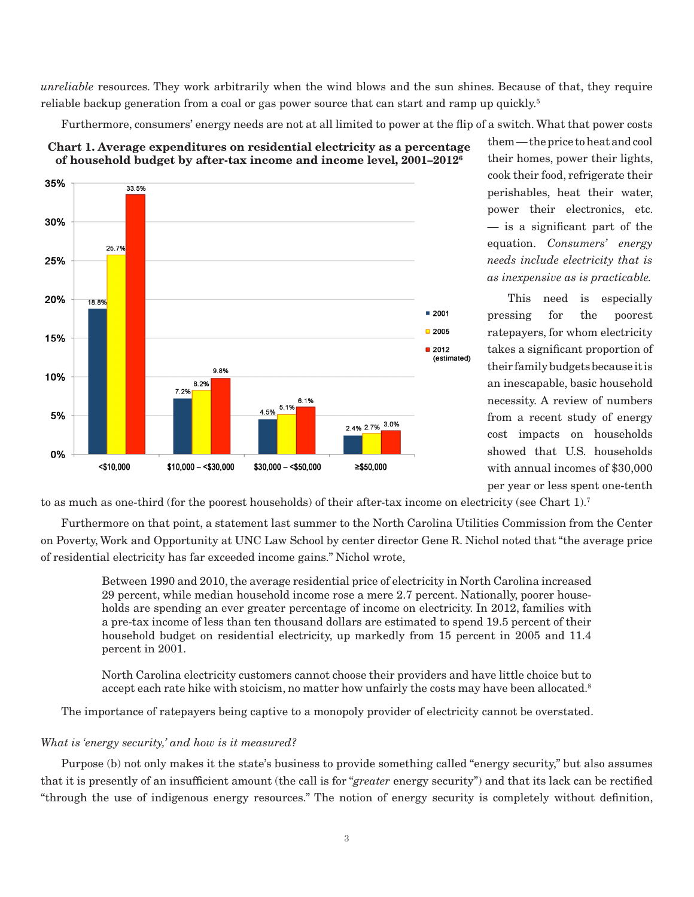*unreliable* resources. They work arbitrarily when the wind blows and the sun shines. Because of that, they require reliable backup generation from a coal or gas power source that can start and ramp up quickly.<sup>5</sup>

Furthermore, consumers' energy needs are not at all limited to power at the flip of a switch. What that power costs



**Chart 1. Average expenditures on residential electricity as a percentage of household budget by after-tax income and income level, 2001–20126**

them — the price to heat and cool their homes, power their lights, cook their food, refrigerate their perishables, heat their water, power their electronics, etc. — is a significant part of the equation. *Consumers' energy needs include electricity that is as inexpensive as is practicable.* 

This need is especially pressing for the poorest ratepayers, for whom electricity takes a significant proportion of their family budgets because it is an inescapable, basic household necessity. A review of numbers from a recent study of energy cost impacts on households showed that U.S. households with annual incomes of \$30,000 per year or less spent one-tenth

to as much as one-third (for the poorest households) of their after-tax income on electricity (see Chart 1).7

Furthermore on that point, a statement last summer to the North Carolina Utilities Commission from the Center on Poverty, Work and Opportunity at UNC Law School by center director Gene R. Nichol noted that "the average price of residential electricity has far exceeded income gains." Nichol wrote,

Between 1990 and 2010, the average residential price of electricity in North Carolina increased 29 percent, while median household income rose a mere 2.7 percent. Nationally, poorer households are spending an ever greater percentage of income on electricity. In 2012, families with a pre-tax income of less than ten thousand dollars are estimated to spend 19.5 percent of their household budget on residential electricity, up markedly from 15 percent in 2005 and 11.4 percent in 2001.

North Carolina electricity customers cannot choose their providers and have little choice but to accept each rate hike with stoicism, no matter how unfairly the costs may have been allocated.<sup>8</sup>

The importance of ratepayers being captive to a monopoly provider of electricity cannot be overstated.

# *What is 'energy security,' and how is it measured?*

Purpose (b) not only makes it the state's business to provide something called "energy security," but also assumes that it is presently of an insufficient amount (the call is for "*greater* energy security") and that its lack can be rectified "through the use of indigenous energy resources." The notion of energy security is completely without definition,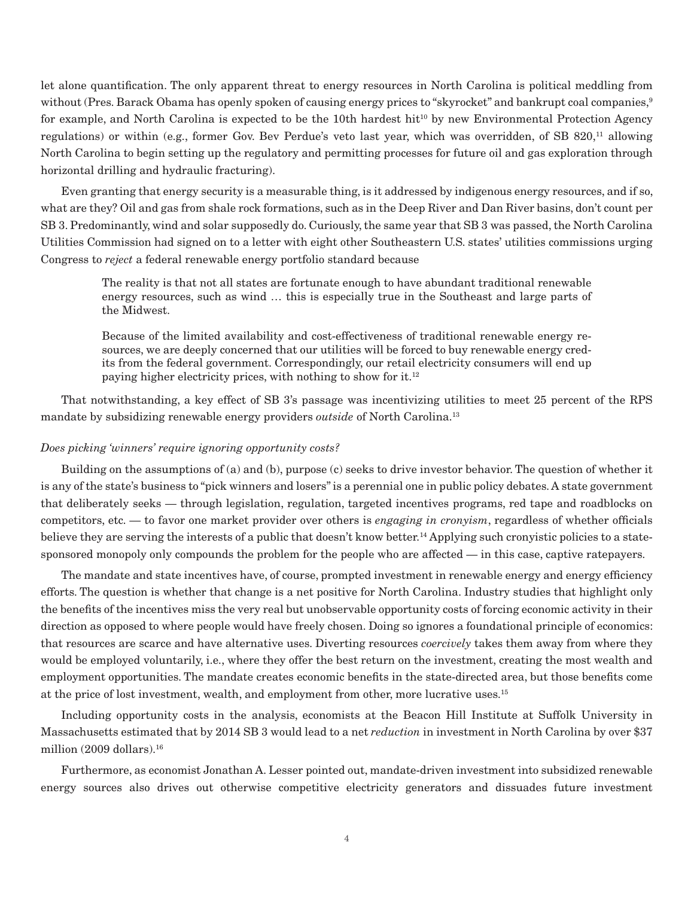let alone quantification. The only apparent threat to energy resources in North Carolina is political meddling from without (Pres. Barack Obama has openly spoken of causing energy prices to "skyrocket" and bankrupt coal companies,  $9$ for example, and North Carolina is expected to be the 10th hardest hit<sup>10</sup> by new Environmental Protection Agency regulations) or within (e.g., former Gov. Bev Perdue's veto last year, which was overridden, of SB 820,<sup>11</sup> allowing North Carolina to begin setting up the regulatory and permitting processes for future oil and gas exploration through horizontal drilling and hydraulic fracturing).

Even granting that energy security is a measurable thing, is it addressed by indigenous energy resources, and if so, what are they? Oil and gas from shale rock formations, such as in the Deep River and Dan River basins, don't count per SB 3. Predominantly, wind and solar supposedly do. Curiously, the same year that SB 3 was passed, the North Carolina Utilities Commission had signed on to a letter with eight other Southeastern U.S. states' utilities commissions urging Congress to *reject* a federal renewable energy portfolio standard because

The reality is that not all states are fortunate enough to have abundant traditional renewable energy resources, such as wind … this is especially true in the Southeast and large parts of the Midwest.

Because of the limited availability and cost-effectiveness of traditional renewable energy resources, we are deeply concerned that our utilities will be forced to buy renewable energy credits from the federal government. Correspondingly, our retail electricity consumers will end up paying higher electricity prices, with nothing to show for it.12

That notwithstanding, a key effect of SB 3's passage was incentivizing utilities to meet 25 percent of the RPS mandate by subsidizing renewable energy providers *outside* of North Carolina.13

# *Does picking 'winners' require ignoring opportunity costs?*

Building on the assumptions of (a) and (b), purpose (c) seeks to drive investor behavior. The question of whether it is any of the state's business to "pick winners and losers" is a perennial one in public policy debates. A state government that deliberately seeks — through legislation, regulation, targeted incentives programs, red tape and roadblocks on competitors, etc. — to favor one market provider over others is *engaging in cronyism*, regardless of whether officials believe they are serving the interests of a public that doesn't know better.14 Applying such cronyistic policies to a statesponsored monopoly only compounds the problem for the people who are affected — in this case, captive ratepayers.

The mandate and state incentives have, of course, prompted investment in renewable energy and energy efficiency efforts. The question is whether that change is a net positive for North Carolina. Industry studies that highlight only the benefits of the incentives miss the very real but unobservable opportunity costs of forcing economic activity in their direction as opposed to where people would have freely chosen. Doing so ignores a foundational principle of economics: that resources are scarce and have alternative uses. Diverting resources *coercively* takes them away from where they would be employed voluntarily, i.e., where they offer the best return on the investment, creating the most wealth and employment opportunities. The mandate creates economic benefits in the state-directed area, but those benefits come at the price of lost investment, wealth, and employment from other, more lucrative uses.15

Including opportunity costs in the analysis, economists at the Beacon Hill Institute at Suffolk University in Massachusetts estimated that by 2014 SB 3 would lead to a net *reduction* in investment in North Carolina by over \$37 million (2009 dollars).16

Furthermore, as economist Jonathan A. Lesser pointed out, mandate-driven investment into subsidized renewable energy sources also drives out otherwise competitive electricity generators and dissuades future investment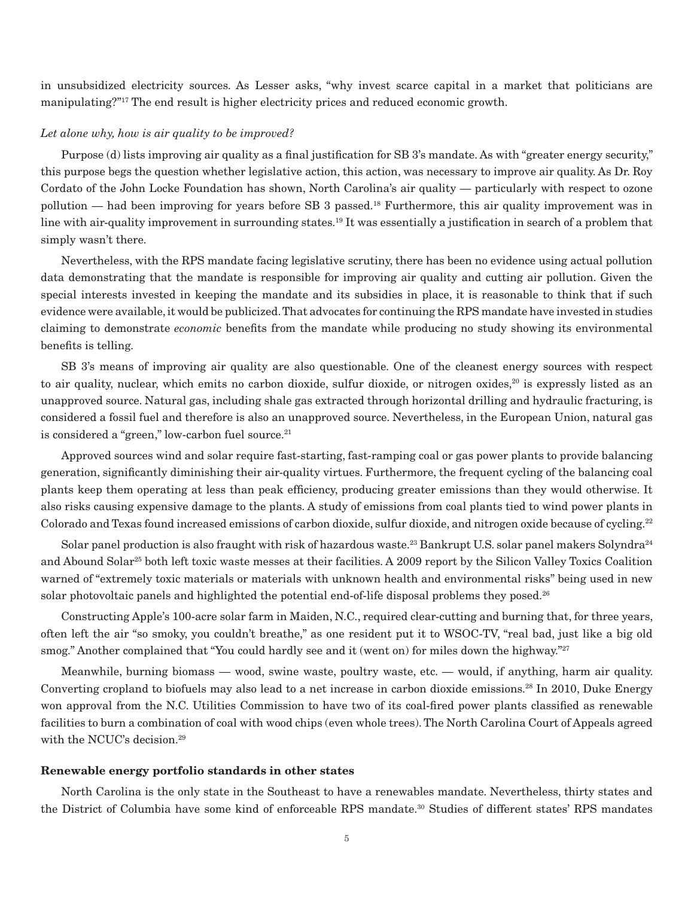in unsubsidized electricity sources. As Lesser asks, "why invest scarce capital in a market that politicians are manipulating?"17 The end result is higher electricity prices and reduced economic growth.

### *Let alone why, how is air quality to be improved?*

Purpose (d) lists improving air quality as a final justification for SB 3's mandate. As with "greater energy security," this purpose begs the question whether legislative action, this action, was necessary to improve air quality. As Dr. Roy Cordato of the John Locke Foundation has shown, North Carolina's air quality — particularly with respect to ozone pollution — had been improving for years before SB 3 passed.18 Furthermore, this air quality improvement was in line with air-quality improvement in surrounding states.19 It was essentially a justification in search of a problem that simply wasn't there.

Nevertheless, with the RPS mandate facing legislative scrutiny, there has been no evidence using actual pollution data demonstrating that the mandate is responsible for improving air quality and cutting air pollution. Given the special interests invested in keeping the mandate and its subsidies in place, it is reasonable to think that if such evidence were available, it would be publicized. That advocates for continuing the RPS mandate have invested in studies claiming to demonstrate *economic* benefits from the mandate while producing no study showing its environmental benefits is telling.

SB 3's means of improving air quality are also questionable. One of the cleanest energy sources with respect to air quality, nuclear, which emits no carbon dioxide, sulfur dioxide, or nitrogen oxides,<sup>20</sup> is expressly listed as an unapproved source. Natural gas, including shale gas extracted through horizontal drilling and hydraulic fracturing, is considered a fossil fuel and therefore is also an unapproved source. Nevertheless, in the European Union, natural gas is considered a "green," low-carbon fuel source.<sup>21</sup>

Approved sources wind and solar require fast-starting, fast-ramping coal or gas power plants to provide balancing generation, significantly diminishing their air-quality virtues. Furthermore, the frequent cycling of the balancing coal plants keep them operating at less than peak efficiency, producing greater emissions than they would otherwise. It also risks causing expensive damage to the plants. A study of emissions from coal plants tied to wind power plants in Colorado and Texas found increased emissions of carbon dioxide, sulfur dioxide, and nitrogen oxide because of cycling.<sup>22</sup>

Solar panel production is also fraught with risk of hazardous waste.<sup>23</sup> Bankrupt U.S. solar panel makers Solyndra<sup>24</sup> and Abound Solar<sup>25</sup> both left toxic waste messes at their facilities. A 2009 report by the Silicon Valley Toxics Coalition warned of "extremely toxic materials or materials with unknown health and environmental risks" being used in new solar photovoltaic panels and highlighted the potential end-of-life disposal problems they posed.<sup>26</sup>

Constructing Apple's 100-acre solar farm in Maiden, N.C., required clear-cutting and burning that, for three years, often left the air "so smoky, you couldn't breathe," as one resident put it to WSOC-TV, "real bad, just like a big old smog." Another complained that "You could hardly see and it (went on) for miles down the highway."<sup>27</sup>

Meanwhile, burning biomass — wood, swine waste, poultry waste, etc. — would, if anything, harm air quality. Converting cropland to biofuels may also lead to a net increase in carbon dioxide emissions.<sup>28</sup> In 2010, Duke Energy won approval from the N.C. Utilities Commission to have two of its coal-fired power plants classified as renewable facilities to burn a combination of coal with wood chips (even whole trees). The North Carolina Court of Appeals agreed with the NCUC's decision.<sup>29</sup>

# **Renewable energy portfolio standards in other states**

North Carolina is the only state in the Southeast to have a renewables mandate. Nevertheless, thirty states and the District of Columbia have some kind of enforceable RPS mandate.30 Studies of different states' RPS mandates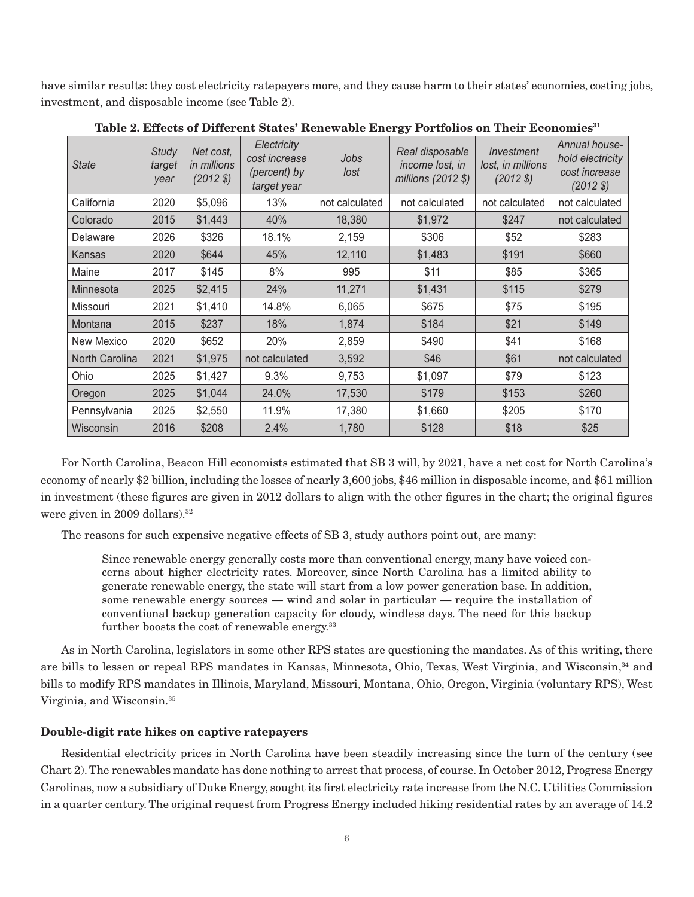have similar results: they cost electricity ratepayers more, and they cause harm to their states' economies, costing jobs, investment, and disposable income (see Table 2).

| <b>State</b>   | <b>Study</b><br>target<br>year | Net cost,<br><i>in millions</i><br>(2012S) | Electricity<br>cost increase<br>(percent) by<br>target year | Jobs<br>lost   | Real disposable<br>income lost, in<br>millions (2012 \$) | Investment<br>lost, in millions<br>$(2012 \text{ } \frac{\pi}{2})$ | Annual house-<br>hold electricity<br>cost increase<br>$(2012 \text{ } $)$ |
|----------------|--------------------------------|--------------------------------------------|-------------------------------------------------------------|----------------|----------------------------------------------------------|--------------------------------------------------------------------|---------------------------------------------------------------------------|
| California     | 2020                           | \$5,096                                    | 13%                                                         | not calculated | not calculated                                           | not calculated                                                     | not calculated                                                            |
| Colorado       | 2015                           | \$1,443                                    | 40%                                                         | 18,380         | \$1,972                                                  | \$247                                                              | not calculated                                                            |
| Delaware       | 2026                           | \$326                                      | 18.1%                                                       | 2,159          | \$306                                                    | \$52                                                               | \$283                                                                     |
| Kansas         | 2020                           | \$644                                      | 45%                                                         | 12,110         | \$1,483                                                  | \$191                                                              | \$660                                                                     |
| Maine          | 2017                           | \$145                                      | 8%                                                          | 995            | \$11                                                     | \$85                                                               | \$365                                                                     |
| Minnesota      | 2025                           | \$2,415                                    | 24%                                                         | 11,271         | \$1,431                                                  | \$115                                                              | \$279                                                                     |
| Missouri       | 2021                           | \$1,410                                    | 14.8%                                                       | 6,065          | \$675                                                    | \$75                                                               | \$195                                                                     |
| Montana        | 2015                           | \$237                                      | 18%                                                         | 1,874          | \$184                                                    | \$21                                                               | \$149                                                                     |
| New Mexico     | 2020                           | \$652                                      | 20%                                                         | 2,859          | \$490                                                    | \$41                                                               | \$168                                                                     |
| North Carolina | 2021                           | \$1,975                                    | not calculated                                              | 3,592          | \$46                                                     | \$61                                                               | not calculated                                                            |
| Ohio           | 2025                           | \$1,427                                    | 9.3%                                                        | 9,753          | \$1,097                                                  | \$79                                                               | \$123                                                                     |
| Oregon         | 2025                           | \$1,044                                    | 24.0%                                                       | 17,530         | \$179                                                    | \$153                                                              | \$260                                                                     |
| Pennsylvania   | 2025                           | \$2,550                                    | 11.9%                                                       | 17,380         | \$1,660                                                  | \$205                                                              | \$170                                                                     |
| Wisconsin      | 2016                           | \$208                                      | 2.4%                                                        | 1,780          | \$128                                                    | \$18                                                               | \$25                                                                      |

Table 2. Effects of Different States' Renewable Energy Portfolios on Their Economies<sup>31</sup>

For North Carolina, Beacon Hill economists estimated that SB 3 will, by 2021, have a net cost for North Carolina's economy of nearly \$2 billion, including the losses of nearly 3,600 jobs, \$46 million in disposable income, and \$61 million in investment (these figures are given in 2012 dollars to align with the other figures in the chart; the original figures were given in 2009 dollars).32

The reasons for such expensive negative effects of SB 3, study authors point out, are many:

Since renewable energy generally costs more than conventional energy, many have voiced concerns about higher electricity rates. Moreover, since North Carolina has a limited ability to generate renewable energy, the state will start from a low power generation base. In addition, some renewable energy sources — wind and solar in particular — require the installation of conventional backup generation capacity for cloudy, windless days. The need for this backup further boosts the cost of renewable energy.<sup>33</sup>

As in North Carolina, legislators in some other RPS states are questioning the mandates. As of this writing, there are bills to lessen or repeal RPS mandates in Kansas, Minnesota, Ohio, Texas, West Virginia, and Wisconsin,<sup>34</sup> and bills to modify RPS mandates in Illinois, Maryland, Missouri, Montana, Ohio, Oregon, Virginia (voluntary RPS), West Virginia, and Wisconsin.35

# **Double-digit rate hikes on captive ratepayers**

Residential electricity prices in North Carolina have been steadily increasing since the turn of the century (see Chart 2). The renewables mandate has done nothing to arrest that process, of course. In October 2012, Progress Energy Carolinas, now a subsidiary of Duke Energy, sought its first electricity rate increase from the N.C. Utilities Commission in a quarter century. The original request from Progress Energy included hiking residential rates by an average of 14.2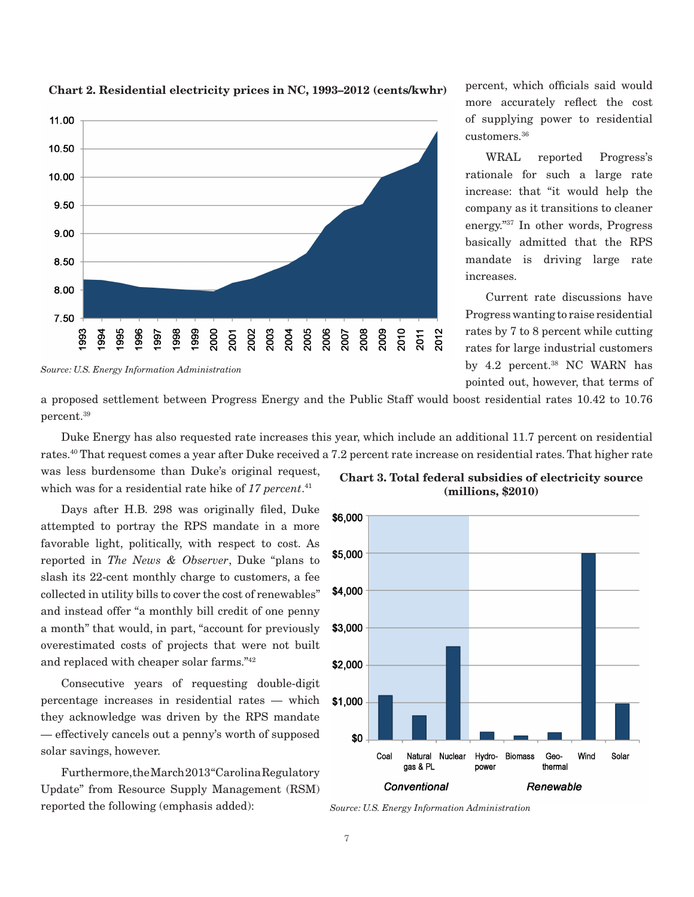

**Chart 2. Residential electricity prices in NC, 1993–2012 (cents/kwhr)**

percent, which officials said would more accurately reflect the cost of supplying power to residential customers.36

WRAL reported Progress's rationale for such a large rate increase: that "it would help the company as it transitions to cleaner energy."37 In other words, Progress basically admitted that the RPS mandate is driving large rate increases.

Current rate discussions have Progress wanting to raise residential rates by 7 to 8 percent while cutting rates for large industrial customers by 4.2 percent.<sup>38</sup> NC WARN has pointed out, however, that terms of

*Source: U.S. Energy Information Administration*

a proposed settlement between Progress Energy and the Public Staff would boost residential rates 10.42 to 10.76 percent.39

Duke Energy has also requested rate increases this year, which include an additional 11.7 percent on residential rates.40 That request comes a year after Duke received a 7.2 percent rate increase on residential rates. That higher rate

was less burdensome than Duke's original request, which was for a residential rate hike of *17 percent*. 41

Days after H.B. 298 was originally filed, Duke attempted to portray the RPS mandate in a more favorable light, politically, with respect to cost. As reported in *The News & Observer*, Duke "plans to slash its 22-cent monthly charge to customers, a fee collected in utility bills to cover the cost of renewables" and instead offer "a monthly bill credit of one penny a month" that would, in part, "account for previously overestimated costs of projects that were not built and replaced with cheaper solar farms."42

Consecutive years of requesting double-digit percentage increases in residential rates — which they acknowledge was driven by the RPS mandate — effectively cancels out a penny's worth of supposed solar savings, however.

Furthermore, the March 2013 "Carolina Regulatory Update" from Resource Supply Management (RSM) reported the following (emphasis added):

**Chart 3. Total federal subsidies of electricity source (millions, \$2010)**



*Source: U.S. Energy Information Administration*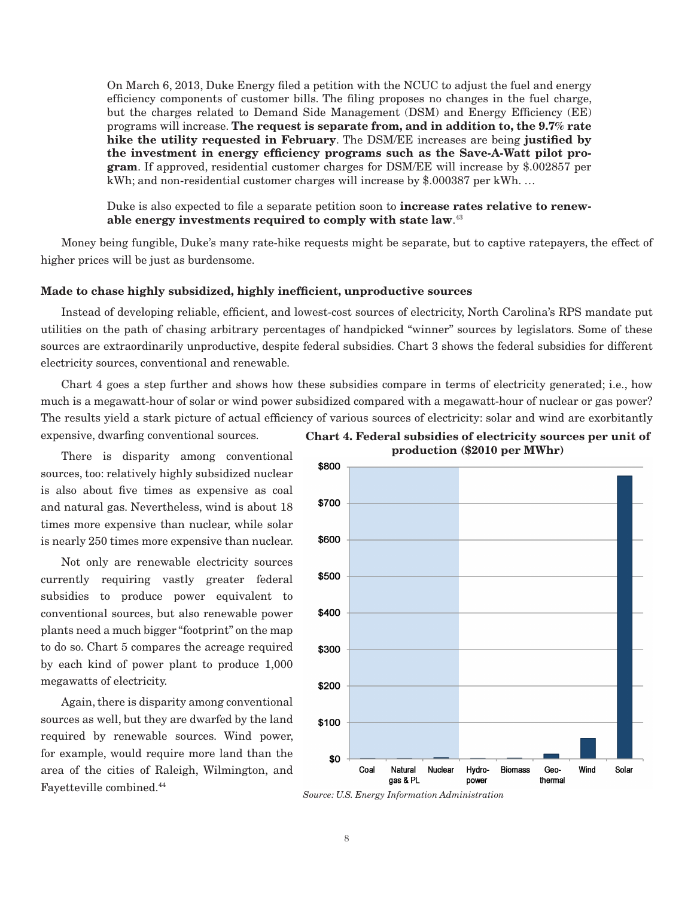On March 6, 2013, Duke Energy filed a petition with the NCUC to adjust the fuel and energy efficiency components of customer bills. The filing proposes no changes in the fuel charge, but the charges related to Demand Side Management (DSM) and Energy Efficiency (EE) programs will increase. **The request is separate from, and in addition to, the 9.7% rate hike the utility requested in February**. The DSM/EE increases are being **justified by the investment in energy efficiency programs such as the Save-A-Watt pilot program**. If approved, residential customer charges for DSM/EE will increase by \$.002857 per kWh; and non-residential customer charges will increase by \$.000387 per kWh. …

Duke is also expected to file a separate petition soon to **increase rates relative to renewable energy investments required to comply with state law**. 43

Money being fungible, Duke's many rate-hike requests might be separate, but to captive ratepayers, the effect of higher prices will be just as burdensome.

# **Made to chase highly subsidized, highly inefficient, unproductive sources**

Instead of developing reliable, efficient, and lowest-cost sources of electricity, North Carolina's RPS mandate put utilities on the path of chasing arbitrary percentages of handpicked "winner" sources by legislators. Some of these sources are extraordinarily unproductive, despite federal subsidies. Chart 3 shows the federal subsidies for different electricity sources, conventional and renewable.

Chart 4 goes a step further and shows how these subsidies compare in terms of electricity generated; i.e., how much is a megawatt-hour of solar or wind power subsidized compared with a megawatt-hour of nuclear or gas power? The results yield a stark picture of actual efficiency of various sources of electricity: solar and wind are exorbitantly

expensive, dwarfing conventional sources.

There is disparity among conventional sources, too: relatively highly subsidized nuclear is also about five times as expensive as coal and natural gas. Nevertheless, wind is about 18 times more expensive than nuclear, while solar is nearly 250 times more expensive than nuclear.

Not only are renewable electricity sources currently requiring vastly greater federal subsidies to produce power equivalent to conventional sources, but also renewable power plants need a much bigger "footprint" on the map to do so. Chart 5 compares the acreage required by each kind of power plant to produce 1,000 megawatts of electricity.

Again, there is disparity among conventional sources as well, but they are dwarfed by the land required by renewable sources. Wind power, for example, would require more land than the area of the cities of Raleigh, Wilmington, and Fayetteville combined.44





*Source: U.S. Energy Information Administration*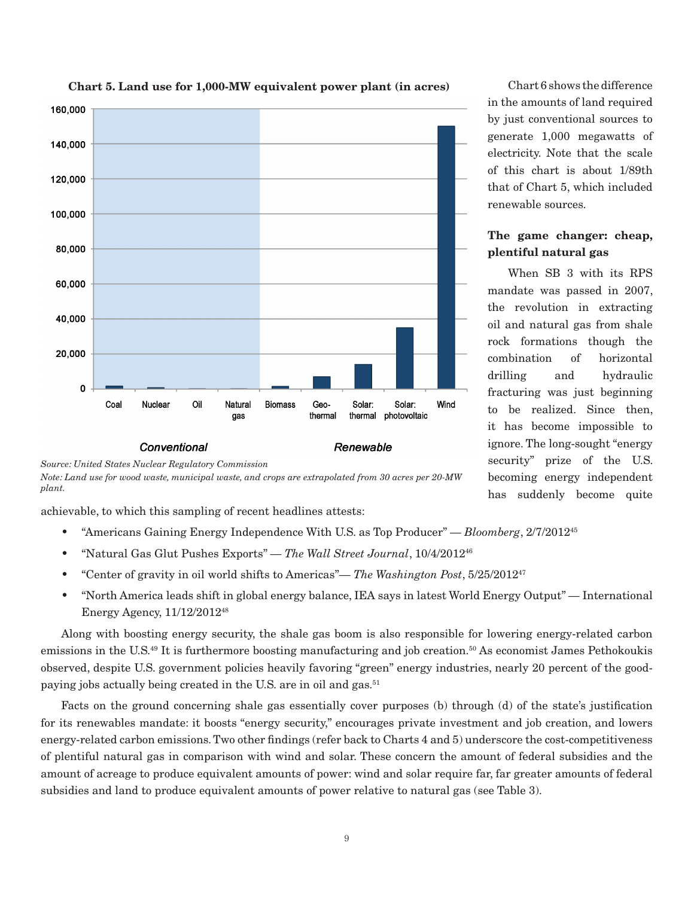

# **Chart 5. Land use for 1,000-MW equivalent power plant (in acres)**



achievable, to which this sampling of recent headlines attests:

- "Americans Gaining Energy Independence With U.S. as Top Producer" *Bloomberg*, 2/7/201245
- "Natural Gas Glut Pushes Exports" *The Wall Street Journal*, 10/4/201246
- "Center of gravity in oil world shifts to Americas"— *The Washington Post*, 5/25/201247
- "North America leads shift in global energy balance, IEA says in latest World Energy Output" International Energy Agency, 11/12/201248

Along with boosting energy security, the shale gas boom is also responsible for lowering energy-related carbon emissions in the U.S.<sup>49</sup> It is furthermore boosting manufacturing and job creation.<sup>50</sup> As economist James Pethokoukis observed, despite U.S. government policies heavily favoring "green" energy industries, nearly 20 percent of the goodpaying jobs actually being created in the U.S. are in oil and gas.<sup>51</sup>

Facts on the ground concerning shale gas essentially cover purposes (b) through (d) of the state's justification for its renewables mandate: it boosts "energy security," encourages private investment and job creation, and lowers energy-related carbon emissions. Two other findings (refer back to Charts 4 and 5) underscore the cost-competitiveness of plentiful natural gas in comparison with wind and solar. These concern the amount of federal subsidies and the amount of acreage to produce equivalent amounts of power: wind and solar require far, far greater amounts of federal subsidies and land to produce equivalent amounts of power relative to natural gas (see Table 3).

Chart 6 shows the difference in the amounts of land required by just conventional sources to generate 1,000 megawatts of electricity. Note that the scale of this chart is about 1/89th that of Chart 5, which included renewable sources.

# **The game changer: cheap, plentiful natural gas**

When SB 3 with its RPS mandate was passed in 2007, the revolution in extracting oil and natural gas from shale rock formations though the combination of horizontal drilling and hydraulic fracturing was just beginning to be realized. Since then, it has become impossible to ignore. The long-sought "energy security" prize of the U.S. becoming energy independent has suddenly become quite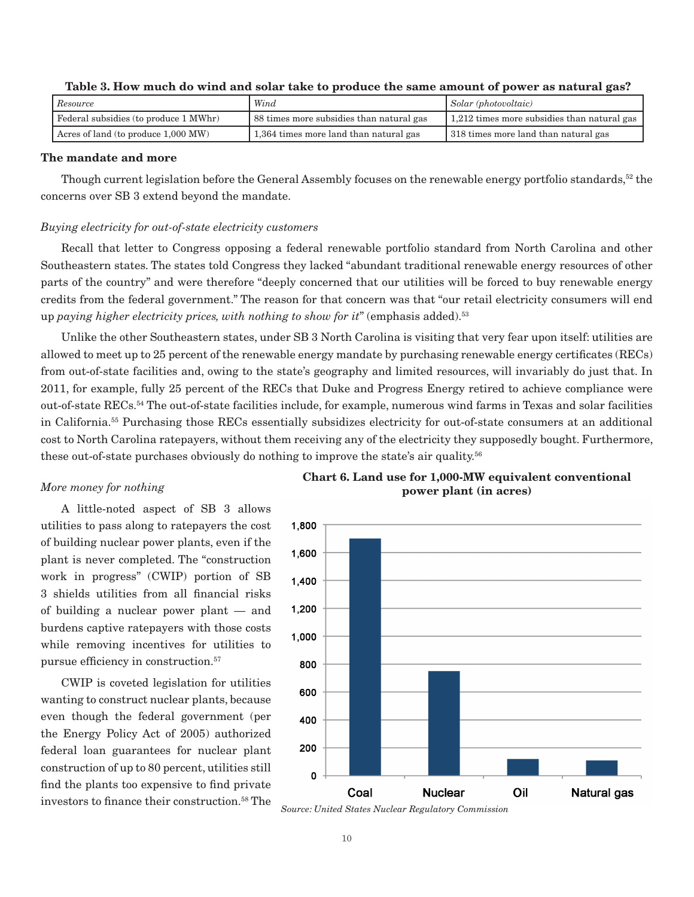| Resource                              | Wind                                   | $\mathcal{S}olar$ (photovoltaic)            |
|---------------------------------------|----------------------------------------|---------------------------------------------|
| Federal subsidies (to produce 1 MWhr) |                                        | 1,212 times more subsidies than natural gas |
| Acres of land (to produce 1,000 MW)   | 1,364 times more land than natural gas | 318 times more land than natural gas        |

# **Table 3. How much do wind and solar take to produce the same amount of power as natural gas?**

# **The mandate and more**

Though current legislation before the General Assembly focuses on the renewable energy portfolio standards,<sup>52</sup> the concerns over SB 3 extend beyond the mandate.

## *Buying electricity for out-of-state electricity customers*

Recall that letter to Congress opposing a federal renewable portfolio standard from North Carolina and other Southeastern states. The states told Congress they lacked "abundant traditional renewable energy resources of other parts of the country" and were therefore "deeply concerned that our utilities will be forced to buy renewable energy credits from the federal government." The reason for that concern was that "our retail electricity consumers will end up *paying higher electricity prices, with nothing to show for it*" (emphasis added).53

Unlike the other Southeastern states, under SB 3 North Carolina is visiting that very fear upon itself: utilities are allowed to meet up to 25 percent of the renewable energy mandate by purchasing renewable energy certificates (RECs) from out-of-state facilities and, owing to the state's geography and limited resources, will invariably do just that. In 2011, for example, fully 25 percent of the RECs that Duke and Progress Energy retired to achieve compliance were out-of-state RECs.54 The out-of-state facilities include, for example, numerous wind farms in Texas and solar facilities in California.55 Purchasing those RECs essentially subsidizes electricity for out-of-state consumers at an additional cost to North Carolina ratepayers, without them receiving any of the electricity they supposedly bought. Furthermore, these out-of-state purchases obviously do nothing to improve the state's air quality.56

#### *More money for nothing*

A little-noted aspect of SB 3 allows utilities to pass along to ratepayers the cost of building nuclear power plants, even if the plant is never completed. The "construction work in progress" (CWIP) portion of SB 3 shields utilities from all financial risks of building a nuclear power plant — and burdens captive ratepayers with those costs while removing incentives for utilities to pursue efficiency in construction.<sup>57</sup>

CWIP is coveted legislation for utilities wanting to construct nuclear plants, because even though the federal government (per the Energy Policy Act of 2005) authorized federal loan guarantees for nuclear plant construction of up to 80 percent, utilities still find the plants too expensive to find private investors to finance their construction.<sup>58</sup> The



**Chart 6. Land use for 1,000-MW equivalent conventional power plant (in acres)**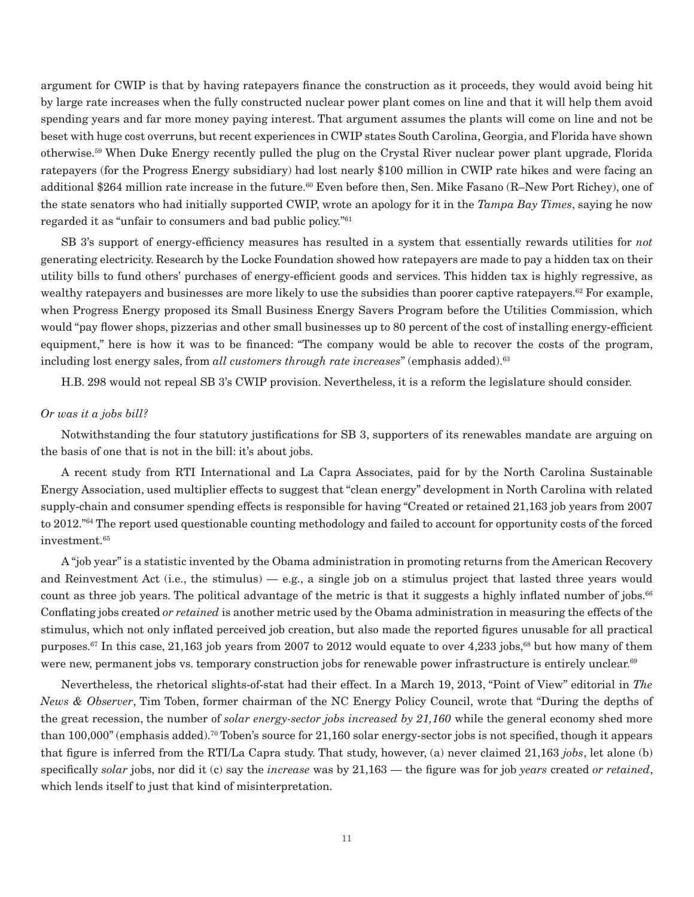argument for CWIP is that by having ratepayers finance the construction as it proceeds, they would avoid being hit by large rate increases when the fully constructed nuclear power plant comes on line and that it will help them avoid spending years and far more money paying interest. That argument assumes the plants will come on line and not be beset with huge cost overruns, but recent experiences in CWIP states South Carolina, Georgia, and Florida have shown otherwise.59 When Duke Energy recently pulled the plug on the Crystal River nuclear power plant upgrade, Florida ratepayers (for the Progress Energy subsidiary) had lost nearly \$100 million in CWIP rate hikes and were facing an additional \$264 million rate increase in the future.<sup>60</sup> Even before then, Sen. Mike Fasano (R–New Port Richey), one of the state senators who had initially supported CWIP, wrote an apology for it in the *Tampa Bay Times*, saying he now regarded it as "unfair to consumers and bad public policy."61

SB 3's support of energy-efficiency measures has resulted in a system that essentially rewards utilities for *not* generating electricity. Research by the Locke Foundation showed how ratepayers are made to pay a hidden tax on their utility bills to fund others' purchases of energy-efficient goods and services. This hidden tax is highly regressive, as wealthy ratepayers and businesses are more likely to use the subsidies than poorer captive ratepayers.<sup>62</sup> For example, when Progress Energy proposed its Small Business Energy Savers Program before the Utilities Commission, which would "pay flower shops, pizzerias and other small businesses up to 80 percent of the cost of installing energy-efficient equipment," here is how it was to be financed: "The company would be able to recover the costs of the program, including lost energy sales, from *all customers through rate increases*" (emphasis added).<sup>63</sup>

H.B. 298 would not repeal SB 3's CWIP provision. Nevertheless, it is a reform the legislature should consider.

# *Or was it a jobs bill?*

Notwithstanding the four statutory justifications for SB 3, supporters of its renewables mandate are arguing on the basis of one that is not in the bill: it's about jobs.

A recent study from RTI International and La Capra Associates, paid for by the North Carolina Sustainable Energy Association, used multiplier effects to suggest that "clean energy" development in North Carolina with related supply-chain and consumer spending effects is responsible for having "Created or retained 21,163 job years from 2007 to 2012."<sup>64</sup> The report used questionable counting methodology and failed to account for opportunity costs of the forced investment.<sup>65</sup>

A "job year" is a statistic invented by the Obama administration in promoting returns from the American Recovery and Reinvestment Act (i.e., the stimulus)  $-$  e.g., a single job on a stimulus project that lasted three years would count as three job years. The political advantage of the metric is that it suggests a highly inflated number of jobs.<sup>66</sup> Conflating jobs created *or retained* is another metric used by the Obama administration in measuring the effects of the stimulus, which not only inflated perceived job creation, but also made the reported figures unusable for all practical purposes.67 In this case, 21,163 job years from 2007 to 2012 would equate to over 4,233 jobs,68 but how many of them were new, permanent jobs vs. temporary construction jobs for renewable power infrastructure is entirely unclear.<sup>69</sup>

Nevertheless, the rhetorical slights-of-stat had their effect. In a March 19, 2013, "Point of View" editorial in *The News & Observer*, Tim Toben, former chairman of the NC Energy Policy Council, wrote that "During the depths of the great recession, the number of *solar energy-sector jobs increased by 21,160* while the general economy shed more than  $100,000$ " (emphasis added).<sup>70</sup> Toben's source for  $21,160$  solar energy-sector jobs is not specified, though it appears that figure is inferred from the RTI/La Capra study. That study, however, (a) never claimed 21,163 *jobs*, let alone (b) specifically *solar* jobs, nor did it (c) say the *increase* was by 21,163 — the figure was for job *years* created *or retained*, which lends itself to just that kind of misinterpretation.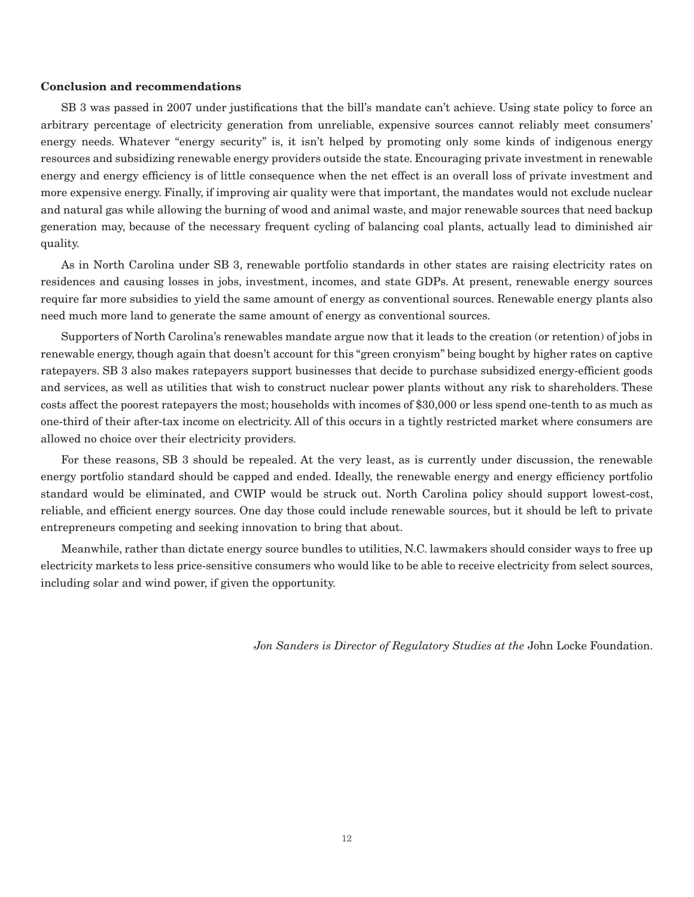# **Conclusion and recommendations**

SB 3 was passed in 2007 under justifications that the bill's mandate can't achieve. Using state policy to force an arbitrary percentage of electricity generation from unreliable, expensive sources cannot reliably meet consumers' energy needs. Whatever "energy security" is, it isn't helped by promoting only some kinds of indigenous energy resources and subsidizing renewable energy providers outside the state. Encouraging private investment in renewable energy and energy efficiency is of little consequence when the net effect is an overall loss of private investment and more expensive energy. Finally, if improving air quality were that important, the mandates would not exclude nuclear and natural gas while allowing the burning of wood and animal waste, and major renewable sources that need backup generation may, because of the necessary frequent cycling of balancing coal plants, actually lead to diminished air quality.

As in North Carolina under SB 3, renewable portfolio standards in other states are raising electricity rates on residences and causing losses in jobs, investment, incomes, and state GDPs. At present, renewable energy sources require far more subsidies to yield the same amount of energy as conventional sources. Renewable energy plants also need much more land to generate the same amount of energy as conventional sources.

Supporters of North Carolina's renewables mandate argue now that it leads to the creation (or retention) of jobs in renewable energy, though again that doesn't account for this "green cronyism" being bought by higher rates on captive ratepayers. SB 3 also makes ratepayers support businesses that decide to purchase subsidized energy-efficient goods and services, as well as utilities that wish to construct nuclear power plants without any risk to shareholders. These costs affect the poorest ratepayers the most; households with incomes of \$30,000 or less spend one-tenth to as much as one-third of their after-tax income on electricity. All of this occurs in a tightly restricted market where consumers are allowed no choice over their electricity providers.

For these reasons, SB 3 should be repealed. At the very least, as is currently under discussion, the renewable energy portfolio standard should be capped and ended. Ideally, the renewable energy and energy efficiency portfolio standard would be eliminated, and CWIP would be struck out. North Carolina policy should support lowest-cost, reliable, and efficient energy sources. One day those could include renewable sources, but it should be left to private entrepreneurs competing and seeking innovation to bring that about.

Meanwhile, rather than dictate energy source bundles to utilities, N.C. lawmakers should consider ways to free up electricity markets to less price-sensitive consumers who would like to be able to receive electricity from select sources, including solar and wind power, if given the opportunity.

*Jon Sanders is Director of Regulatory Studies at the* John Locke Foundation.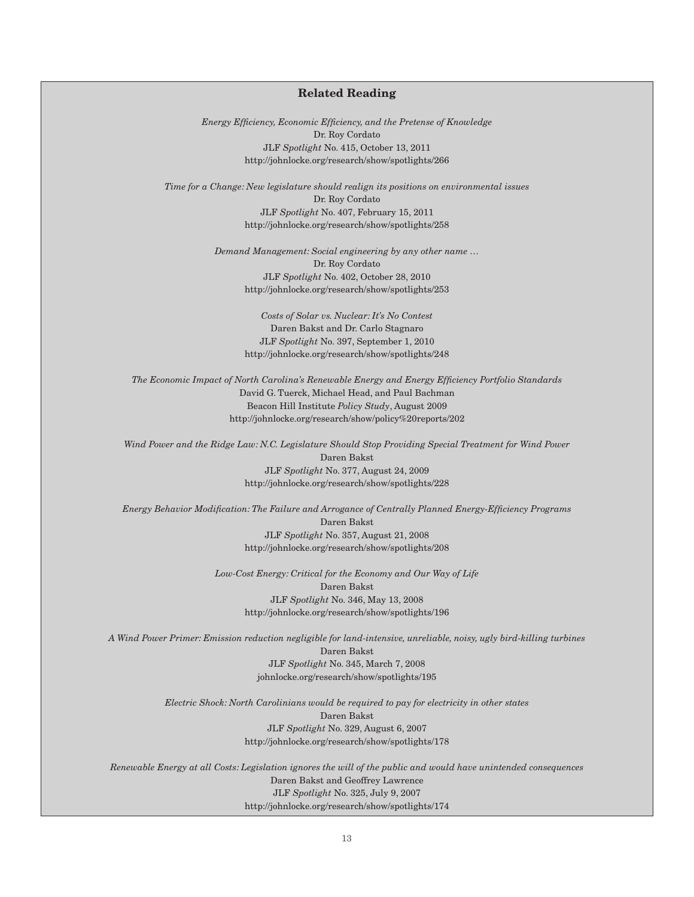# **Related Reading**

*Energy Efficiency, Economic Efficiency, and the Pretense of Knowledge* Dr. Roy Cordato JLF *Spotlight* No. 415, October 13, 2011 http://johnlocke.org/research/show/spotlights/266

*Time for a Change: New legislature should realign its positions on environmental issues* Dr. Roy Cordato JLF *Spotlight* No. 407, February 15, 2011 http://johnlocke.org/research/show/spotlights/258

> *Demand Management: Social engineering by any other name …* Dr. Roy Cordato JLF *Spotlight* No. 402, October 28, 2010 http://johnlocke.org/research/show/spotlights/253

> > *Costs of Solar vs. Nuclear: It's No Contest* Daren Bakst and Dr. Carlo Stagnaro JLF *Spotlight* No. 397, September 1, 2010 http://johnlocke.org/research/show/spotlights/248

*The Economic Impact of North Carolina's Renewable Energy and Energy Efficiency Portfolio Standards* David G. Tuerck, Michael Head, and Paul Bachman Beacon Hill Institute *Policy Study*, August 2009 http://johnlocke.org/research/show/policy%20reports/202

*Wind Power and the Ridge Law: N.C. Legislature Should Stop Providing Special Treatment for Wind Power* Daren Bakst JLF *Spotlight* No. 377, August 24, 2009 http://johnlocke.org/research/show/spotlights/228

*Energy Behavior Modification: The Failure and Arrogance of Centrally Planned Energy-Efficiency Programs* Daren Bakst JLF *Spotlight* No. 357, August 21, 2008 http://johnlocke.org/research/show/spotlights/208

> *Low-Cost Energy: Critical for the Economy and Our Way of Life* Daren Bakst JLF *Spotlight* No. 346, May 13, 2008 http://johnlocke.org/research/show/spotlights/196

*A Wind Power Primer: Emission reduction negligible for land-intensive, unreliable, noisy, ugly bird-killing turbines* Daren Bakst JLF *Spotlight* No. 345, March 7, 2008 johnlocke.org/research/show/spotlights/195

> *Electric Shock: North Carolinians would be required to pay for electricity in other states* Daren Bakst JLF *Spotlight* No. 329, August 6, 2007 http://johnlocke.org/research/show/spotlights/178

*Renewable Energy at all Costs: Legislation ignores the will of the public and would have unintended consequences* Daren Bakst and Geoffrey Lawrence JLF *Spotlight* No. 325, July 9, 2007 http://johnlocke.org/research/show/spotlights/174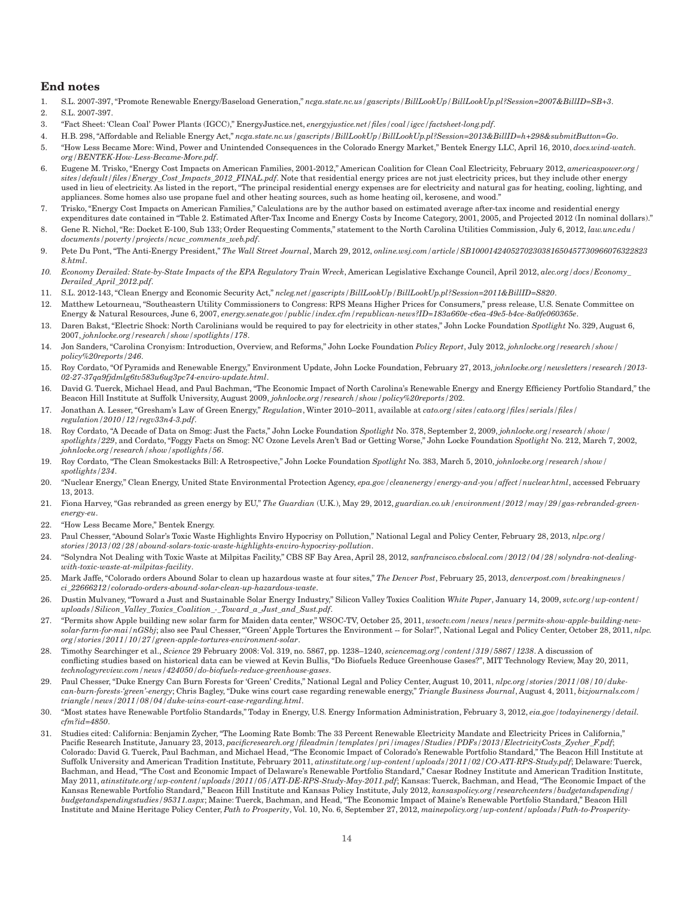# **End notes**

- 1. S.L. 2007-397, "Promote Renewable Energy/Baseload Generation," *ncga.state.nc.us/gascripts/BillLookUp/BillLookUp.pl?Session=2007&BillID=SB+3*.
- 2. S.L. 2007-397.
- 3. "Fact Sheet: 'Clean Coal' Power Plants (IGCC)," EnergyJustice.net, *energyjustice.net/files/coal/igcc/factsheet-long.pdf*.
- 4. H.B. 298, "Affordable and Reliable Energy Act," *ncga.state.nc.us/gascripts/BillLookUp/BillLookUp.pl?Session=2013&BillID=h+298&submitButton=Go*.
- 5. "How Less Became More: Wind, Power and Unintended Consequences in the Colorado Energy Market," Bentek Energy LLC, April 16, 2010, *docs.wind-watch. org/BENTEK-How-Less-Became-More.pdf*.
- 6. Eugene M. Trisko, "Energy Cost Impacts on American Families, 2001-2012," American Coalition for Clean Coal Electricity, February 2012, *americaspower.org/ sites/default/files/Energy\_Cost\_Impacts\_2012\_FINAL.pdf*. Note that residential energy prices are not just electricity prices, but they include other energy used in lieu of electricity. As listed in the report, "The principal residential energy expenses are for electricity and natural gas for heating, cooling, lighting, and appliances. Some homes also use propane fuel and other heating sources, such as home heating oil, kerosene, and wood."
- 7. Trisko, "Energy Cost Impacts on American Families," Calculations are by the author based on estimated average after-tax income and residential energy expenditures date contained in "Table 2. Estimated After-Tax Income and Energy Costs by Income Category, 2001, 2005, and Projected 2012 (In nominal dollars)."
- 8. Gene R. Nichol, "Re: Docket E-100, Sub 133; Order Requesting Comments," statement to the North Carolina Utilities Commission, July 6, 2012, *law.unc.edu* / *documents/poverty/projects/ncuc\_comments\_web.pdf*.
- 9. Pete Du Pont, "The Anti-Energy President," *The Wall Street Journal*, March 29, 2012, *online.wsj.com/article/SB1000142405270230381650457730966076322823 8.html*.
- *10. Economy Derailed: State-by-State Impacts of the EPA Regulatory Train Wreck*, American Legislative Exchange Council, April 2012, *alec.org/docs/Economy\_ Derailed\_April\_2012.pdf*.
- 11. S.L. 2012-143, "Clean Energy and Economic Security Act," *ncleg.net/gascripts/BillLookUp/BillLookUp.pl?Session=2011&BillID=S820*.
- 12. Matthew Letourneau, "Southeastern Utility Commissioners to Congress: RPS Means Higher Prices for Consumers," press release, U.S. Senate Committee on Energy & Natural Resources, June 6, 2007, *energy.senate.gov/public/index.cfm/republican-news?ID=183a660e-c6ea-49e5-b4ce-8a0fe060365e*.
- 13. Daren Bakst, "Electric Shock: North Carolinians would be required to pay for electricity in other states," John Locke Foundation *Spotlight* No. 329, August 6, 2007, *johnlocke.org/research/show/spotlights/178*.
- 14. Jon Sanders, "Carolina Cronyism: Introduction, Overview, and Reforms," John Locke Foundation *Policy Report*, July 2012, *johnlocke.org/research/show/ policy%20reports/246*.
- 15. Roy Cordato, "Of Pyramids and Renewable Energy," Environment Update, John Locke Foundation, February 27, 2013, *johnlocke.org/newsletters/research/2013- 02-27-37qa9fjdmlg6tv583u6ug3pc74-enviro-update.html*.
- 16. David G. Tuerck, Michael Head, and Paul Bachman, "The Economic Impact of North Carolina's Renewable Energy and Energy Efficiency Portfolio Standard," the Beacon Hill Institute at Suffolk University, August 2009, *johnlocke.org/research/show/policy%20reports/2*02.
- 17. Jonathan A. Lesser, "Gresham's Law of Green Energy," *Regulation*, Winter 2010–2011, available at *cato.org/sites/cato.org/files/serials/files/ regulation/2010/12/regv33n4-3.pdf*.
- 18. Roy Cordato, "A Decade of Data on Smog: Just the Facts," John Locke Foundation *Spotlight* No. 378, September 2, 2009, *johnlocke.org/research/show/ spotlights/229*, and Cordato, "Foggy Facts on Smog: NC Ozone Levels Aren't Bad or Getting Worse," John Locke Foundation *Spotlight* No. 212, March 7, 2002, *johnlocke.org/research/show/spotlights/56*.
- 19. Roy Cordato, "The Clean Smokestacks Bill: A Retrospective," John Locke Foundation *Spotlight* No. 383, March 5, 2010, *johnlocke.org/research/show/ spotlights/234*.
- 20. "Nuclear Energy," Clean Energy, United State Environmental Protection Agency, *epa.gov/cleanenergy/energy-and-you/affect/nuclear.html*, accessed February 13, 2013.
- 21. Fiona Harvey, "Gas rebranded as green energy by EU," *The Guardian* (U.K.), May 29, 2012, *guardian.co.uk/environment/2012/may/29/gas-rebranded-greenenergy-eu*.
- 22. "How Less Became More," Bentek Energy.
- 23. Paul Chesser, "Abound Solar's Toxic Waste Highlights Enviro Hypocrisy on Pollution," National Legal and Policy Center, February 28, 2013, *nlpc.org/ stories/2013/02/28/abound-solars-toxic-waste-highlights-enviro-hypocrisy-pollution*.
- 24. "Solyndra Not Dealing with Toxic Waste at Milpitas Facility," CBS SF Bay Area, April 28, 2012, *sanfrancisco.cbslocal.com/2012/04/28/solyndra-not-dealingwith-toxic-waste-at-milpitas-facility*.
- 25. Mark Jaffe, "Colorado orders Abound Solar to clean up hazardous waste at four sites," *The Denver Post*, February 25, 2013, *denverpost.com/breakingnews/ ci\_22666212/colorado-orders-abound-solar-clean-up-hazardous-waste*.
- 26. Dustin Mulvaney, "Toward a Just and Sustainable Solar Energy Industry," Silicon Valley Toxics Coalition *White Paper*, January 14, 2009, *svtc.org/wp-content/ uploads/Silicon\_Valley\_Toxics\_Coalition\_-\_Toward\_a\_Just\_and\_Sust.pdf*.
- 27. "Permits show Apple building new solar farm for Maiden data center," WSOC-TV, October 25, 2011, *wsoctv.com/news/news/permits-show-apple-building-newsolar-farm-for-mai/nGSbj*; also see Paul Chesser, "'Green' Apple Tortures the Environment -- for Solar!", National Legal and Policy Center, October 28, 2011, *nlpc. org/stories/2011/10/27/green-apple-tortures-environment-solar*.
- 28. Timothy Searchinger et al., *Science* 29 February 2008: Vol. 319, no. 5867, pp. 1238–1240, *sciencemag.org/content/319/5867/1238*. A discussion of conflicting studies based on historical data can be viewed at Kevin Bullis, "Do Biofuels Reduce Greenhouse Gases?", MIT Technology Review, May 20, 2011, *technologyreview.com/news/424050/do-biofuels-reduce-greenhouse-gases*.
- 29. Paul Chesser, "Duke Energy Can Burn Forests for 'Green' Credits," National Legal and Policy Center, August 10, 2011, *nlpc.org/stories/2011/08/10/dukecan-burn-forests-'green'-energy*; Chris Bagley, "Duke wins court case regarding renewable energy," *Triangle Business Journal*, August 4, 2011, *bizjournals.com/ triangle/news/2011/08/04/duke-wins-court-case-regarding.html*.
- 30. "Most states have Renewable Portfolio Standards," Today in Energy, U.S. Energy Information Administration, February 3, 2012, *eia.gov/todayinenergy/detail. cfm?id=4850*.
- 31. Studies cited: California: Benjamin Zycher, "The Looming Rate Bomb: The 33 Percent Renewable Electricity Mandate and Electricity Prices in California," Pacific Research Institute, January 23, 2013, *pacificresearch.org/fileadmin/templates/pri/images/Studies/PDFs/2013/ElectricityCosts\_Zycher\_F.pdf*; Colorado: David G. Tuerck, Paul Bachman, and Michael Head, "The Economic Impact of Colorado's Renewable Portfolio Standard," The Beacon Hill Institute at Suffolk University and American Tradition Institute, February 2011, *atinstitute.org/wp-content/uploads/2011/02/CO-ATI-RPS-Study.pdf*; Delaware: Tuerck, Bachman, and Head, "The Cost and Economic Impact of Delaware's Renewable Portfolio Standard," Caesar Rodney Institute and American Tradition Institute, May 2011, *atinstitute.org/wp-content/uploads/2011/05/ATI-DE-RPS-Study-May-2011.pdf*; Kansas: Tuerck, Bachman, and Head, "The Economic Impact of the Kansas Renewable Portfolio Standard," Beacon Hill Institute and Kansas Policy Institute, July 2012, *kansaspolicy.org/researchcenters/budgetandspending/ budgetandspendingstudies/95311.aspx*; Maine: Tuerck, Bachman, and Head, "The Economic Impact of Maine's Renewable Portfolio Standard," Beacon Hill Institute and Maine Heritage Policy Center, *Path to Prosperity*, Vol. 10, No. 6, September 27, 2012, *mainepolicy.org/wp-content/uploads/Path-to-Prosperity-*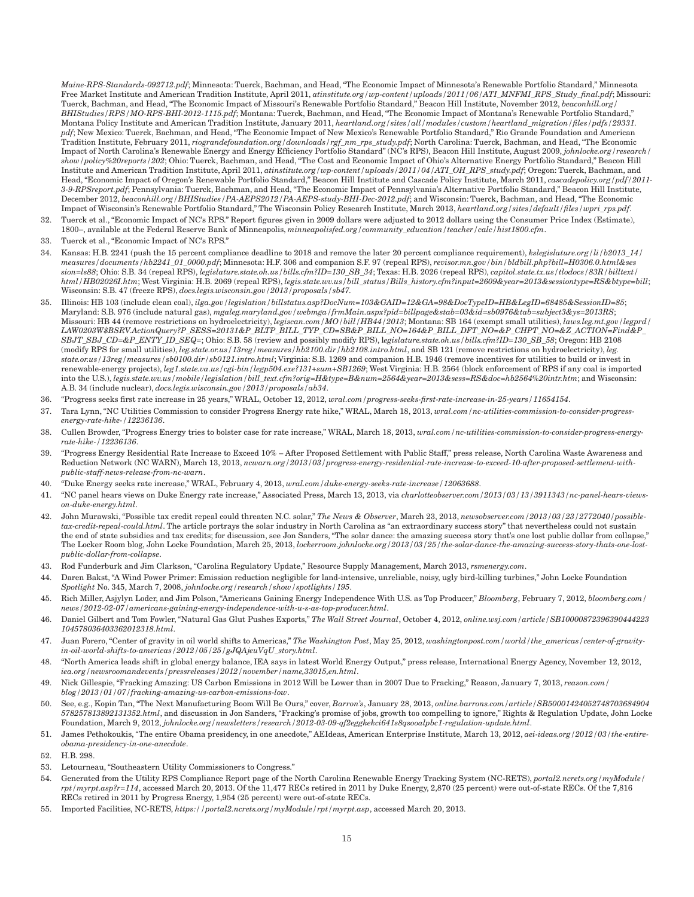*Maine-RPS-Standards-092712.pdf*; Minnesota: Tuerck, Bachman, and Head, "The Economic Impact of Minnesota's Renewable Portfolio Standard," Minnesota Free Market Institute and American Tradition Institute, April 2011, *atinstitute.org/wp-content/uploads/2011/06/ATI\_MNFMI\_RPS\_Study\_final.pdf*; Missouri: Tuerck, Bachman, and Head, "The Economic Impact of Missouri's Renewable Portfolio Standard," Beacon Hill Institute, November 2012, *beaconhill.org/ BHIStudies/RPS/MO-RPS-BHI-2012-1115.pdf*; Montana: Tuerck, Bachman, and Head, "The Economic Impact of Montana's Renewable Portfolio Standard," Montana Policy Institute and American Tradition Institute, January 2011, *heartland.org/sites/all/modules/custom/heartland\_migration/files/pdfs/29331. pdf*; New Mexico: Tuerck, Bachman, and Head, "The Economic Impact of New Mexico's Renewable Portfolio Standard," Rio Grande Foundation and American Tradition Institute, February 2011, *riograndefoundation.org/downloads/rgf\_nm\_rps\_study.pdf*; North Carolina: Tuerck, Bachman, and Head, "The Economic Impact of North Carolina's Renewable Energy and Energy Efficiency Portfolio Standard" (NC's RPS), Beacon Hill Institute, August 2009, *johnlocke.org/research/ show/policy%20reports/202*; Ohio: Tuerck, Bachman, and Head, "The Cost and Economic Impact of Ohio's Alternative Energy Portfolio Standard," Beacon Hill Institute and American Tradition Institute, April 2011, *atinstitute.org/wp-content/uploads/2011/04/ATI\_OH\_RPS\_study.pdf*; Oregon: Tuerck, Bachman, and Head, "Economic Impact of Oregon's Renewable Portfolio Standard," Beacon Hill Institute and Cascade Policy Institute, March 2011, *cascadepolicy.org/pdf/2011- 3-9-RPSreport.pdf*; Pennsylvania: Tuerck, Bachman, and Head, "The Economic Impact of Pennsylvania's Alternative Portfolio Standard," Beacon Hill Institute, December 2012, *beaconhill.org/BHIStudies/PA-AEPS2012/PA-AEPS-study-BHI-Dec-2012.pdf*; and Wisconsin: Tuerck, Bachman, and Head, "The Economic Impact of Wisconsin's Renewable Portfolio Standard," The Wisconsin Policy Research Institute, March 2013, *heartland.org/sites/default/files/wpri\_rps.pdf*.

- 32. Tuerck et al., "Economic Impact of NC's RPS." Report figures given in 2009 dollars were adjusted to 2012 dollars using the Consumer Price Index (Estimate), 1800–, available at the Federal Reserve Bank of Minneapolis, *minneapolisfed.org/community\_education/teacher/calc/hist1800.cfm*.
- 33. Tuerck et al., "Economic Impact of NC's RPS."
- 34. Kansas: H.B. 2241 (push the 15 percent compliance deadline to 2018 and remove the later 20 percent compliance requirement), *kslegislature.org/li/b2013\_14/ measures/documents/hb2241\_01\_0000.pdf*; Minnesota: H.F. 306 and companion S.F. 97 (repeal RPS), *revisor.mn.gov/bin/bldbill.php?bill=H0306.0.html&ses sion=ls88*; Ohio: S.B. 34 (repeal RPS), *legislature.state.oh.us/bills.cfm?ID=130\_SB\_34*; Texas: H.B. 2026 (repeal RPS), *capitol.state.tx.us/tlodocs/83R/billtext/ html/HB02026I.htm*; West Virginia: H.B. 2069 (repeal RPS), *legis.state.wv.us/bill\_status/Bills\_history.cfm?input=2609&year=2013&sessiontype=RS&btype=bill*; Wisconsin: S.B. 47 (freeze RPS), *docs.legis.wisconsin.gov/2013/proposals/sb47.*
- 35. Illinois: HB 103 (include clean coal), *ilga.gov/legislation/billstatus.asp?DocNum=103&GAID=12&GA=98&DocTypeID=HB&LegID=68485&SessionID=85*; Maryland: S.B. 976 (include natural gas), *mgaleg.maryland.gov/webmga/frmMain.aspx?pid=billpage&stab=03&id=sb0976&tab=subject3&ys=2013RS*; Missouri: HB 44 (remove restrictions on hydroelectricity), *legiscan.com/MO/bill/HB44/2013*; Montana: SB 164 (exempt small utilities), *laws.leg.mt.gov/legprd/ LAW0203W\$BSRV.ActionQuery?P\_SESS=20131&P\_BLTP\_BILL\_TYP\_CD=SB&P\_BILL\_NO=164&P\_BILL\_DFT\_NO=&P\_CHPT\_NO=&Z\_ACTION=Find&P\_ SBJT\_SBJ\_CD=&P\_ENTY\_ID\_SEQ=*; Ohio: S.B. 58 (review and possibly modify RPS), l*egislature.state.oh.us/bills.cfm?ID=130\_SB\_58*; Oregon: HB 2108 (modify RPS for small utilities), *leg.state.or.us/13reg/measures/hb2100.dir/hb2108.intro.html*, and SB 121 (remove restrictions on hydroelectricity), *leg. state.or.us/13reg/measures/sb0100.dir/sb0121.intro.html*; Virginia: S.B. 1269 and companion H.B. 1946 (remove incentives for utilities to build or invest in renewable-energy projects), *leg1.state.va.us/cgi-bin/legp504.exe?131+sum+SB1269*; West Virginia: H.B. 2564 (block enforcement of RPS if any coal is imported into the U.S.), *legis.state.wv.us/mobile/legislation/bill\_text.cfm?orig=H&type=B&num=2564&year=2013&sess=RS&doc=hb2564%20intr.htm*; and Wisconsin: A.B. 34 (include nuclear), *docs.legis.wisconsin.gov/2013/proposals/ab34*.
- 36. "Progress seeks first rate increase in 25 years," WRAL, October 12, 2012, *wral.com/progress-seeks-first-rate-increase-in-25-years/11654154*.
- 37. Tara Lynn, "NC Utilities Commission to consider Progress Energy rate hike," WRAL, March 18, 2013, *wral.com/nc-utilities-commission-to-consider-progressenergy-rate-hike-/12236136*.
- 38. Cullen Browder, "Progress Energy tries to bolster case for rate increase," WRAL, March 18, 2013, *wral.com/nc-utilities-commission-to-consider-progress-energyrate-hike-/12236136*.
- 39. "Progress Energy Residential Rate Increase to Exceed 10% After Proposed Settlement with Public Staff," press release, North Carolina Waste Awareness and Reduction Network (NC WARN), March 13, 2013, *ncwarn.org/2013/03/progress-energy-residential-rate-increase-to-exceed-10-after-proposed-settlement-withpublic-staff-news-release-from-nc-warn*.
- 40. "Duke Energy seeks rate increase," WRAL, February 4, 2013, *wral.com/duke-energy-seeks-rate-increase/12063688*.
- 41. "NC panel hears views on Duke Energy rate increase," Associated Press, March 13, 2013, via *charlotteobserver.com/2013/03/13/3911343/nc-panel-hears-viewson-duke-energy.html*.
- 42. John Murawski, "Possible tax credit repeal could threaten N.C. solar," *The News & Observer*, March 23, 2013, *newsobserver.com/2013/03/23/2772040/possibletax-credit-repeal-could.html*. The article portrays the solar industry in North Carolina as "an extraordinary success story" that nevertheless could not sustain the end of state subsidies and tax credits; for discussion, see Jon Sanders, "The solar dance: the amazing success story that's one lost public dollar from collapse," The Locker Room blog, John Locke Foundation, March 25, 2013, *lockerroom.johnlocke.org/2013/03/25/the-solar-dance-the-amazing-success-story-thats-one-lostpublic-dollar-from-collapse*.
- 43. Rod Funderburk and Jim Clarkson, "Carolina Regulatory Update," Resource Supply Management, March 2013, *rsmenergy.com*.
- 44. Daren Bakst, "A Wind Power Primer: Emission reduction negligible for land-intensive, unreliable, noisy, ugly bird-killing turbines," John Locke Foundation *Spotlight* No. 345, March 7, 2008, *johnlocke.org/research/show/spotlights/195*.
- 45. Rich Miller, Asjylyn Loder, and Jim Polson, "Americans Gaining Energy Independence With U.S. as Top Producer," *Bloomberg*, February 7, 2012, *bloomberg.com/ news/2012-02-07/americans-gaining-energy-independence-with-u-s-as-top-producer.html*.
- 46. Daniel Gilbert and Tom Fowler, "Natural Gas Glut Pushes Exports," *The Wall Street Journal*, October 4, 2012, *online.wsj.com/article/SB10000872396390444223 104578036403362012318.html*.
- 47. Juan Forero, "Center of gravity in oil world shifts to Americas," *The Washington Post*, May 25, 2012, *washingtonpost.com/world/the\_americas/center-of-gravityin-oil-world-shifts-to-americas/2012/05/25/gJQAjeuVqU\_story.html*.
- 48. "North America leads shift in global energy balance, IEA says in latest World Energy Output," press release, International Energy Agency, November 12, 2012, *iea.org/newsroomandevents/pressreleases/2012/november/name,33015,en.html*.
- 49. Nick Gillespie, "Fracking Amazing: US Carbon Emissions in 2012 Will be Lower than in 2007 Due to Fracking," Reason, January 7, 2013, *reason.com/ blog/2013/01/07/fracking-amazing-us-carbon-emissions-low*.
- 50. See, e.g., Kopin Tan, "The Next Manufacturing Boom Will Be Ours," cover, *Barron's*, January 28, 2013, *online.barrons.com/article/SB50001424052748703684904 578257813892131352.html*, and discussion in Jon Sanders, "Fracking's promise of jobs, growth too compelling to ignore," Rights & Regulation Update, John Locke Foundation, March 9, 2012, *johnlocke.org/newsletters/research/2012-03-09-qf2eggkekci641s8qsooalpbc1-regulation-update.html*.
- 51. James Pethokoukis, "The entire Obama presidency, in one anecdote," AEIdeas, American Enterprise Institute, March 13, 2012, *aei-ideas.org/2012/03/the-entireobama-presidency-in-one-anecdote*.
- 52. H.B. 298.
- 53. Letourneau, "Southeastern Utility Commissioners to Congress."
- 54. Generated from the Utility RPS Compliance Report page of the North Carolina Renewable Energy Tracking System (NC-RETS), *portal2.ncrets.org/myModule/ rpt/myrpt.asp?r=114*, accessed March 20, 2013. Of the 11,477 RECs retired in 2011 by Duke Energy, 2,870 (25 percent) were out-of-state RECs. Of the 7,816 RECs retired in 2011 by Progress Energy, 1,954 (25 percent) were out-of-state RECs.
- 55. Imported Facilities, NC-RETS, *https://portal2.ncrets.org/myModule/rpt/myrpt.asp*, accessed March 20, 2013.